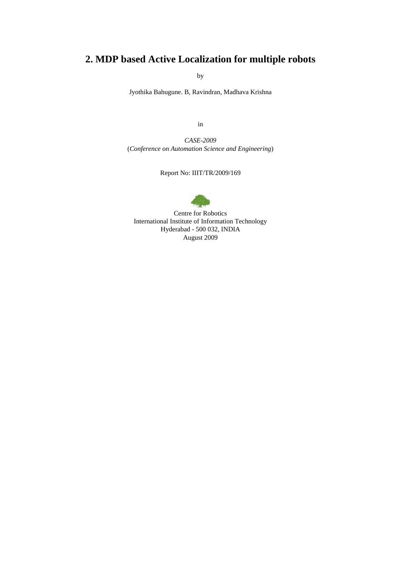# **2. MDP based Active Localization for multiple robots**

by

Jyothika Bahugune. B, Ravindran, Madhava Krishna

in

*CASE-2009* (*Conference on Automation Science and Engineering*)

Report No: IIIT/TR/2009/169



Centre for Robotics International Institute of Information Technology Hyderabad - 500 032, INDIA August 2009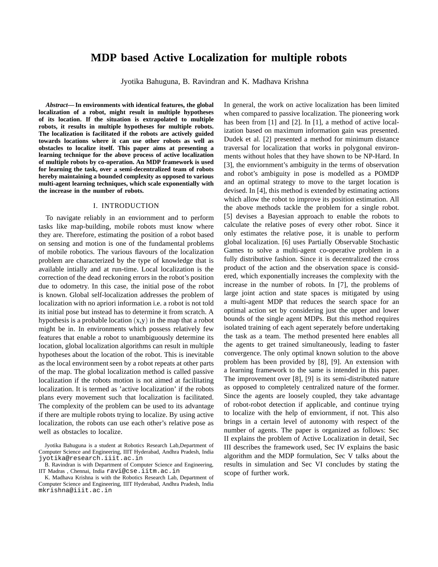# **MDP based Active Localization for multiple robots**

Jyotika Bahuguna, B. Ravindran and K. Madhava Krishna

*Abstract***— In environments with identical features, the global localization of a robot, might result in multiple hypotheses of its location. If the situation is extrapolated to multiple robots, it results in multiple hypotheses for multiple robots. The localization is facilitated if the robots are actively guided towards locations where it can use other robots as well as obstacles to localize itself. This paper aims at presenting a learning technique for the above process of active localization of multiple robots by co-operation. An MDP framework is used for learning the task, over a semi-decentralized team of robots hereby maintaining a bounded complexity as opposed to various multi-agent learning techniques, which scale exponentially with the increase in the number of robots.**

#### I. INTRODUCTION

To navigate reliably in an enviornment and to perform tasks like map-building, mobile robots must know where they are. Therefore, estimating the position of a robot based on sensing and motion is one of the fundamental problems of mobile robotics. The various flavours of the localization problem are characterized by the type of knowledge that is available intially and at run-time. Local localization is the correction of the dead reckoning errors in the robot's position due to odometry. In this case, the initial pose of the robot is known. Global self-localization addresses the problem of localization with no apriori information i.e. a robot is not told its initial pose but instead has to determine it from scratch. A hypothesis is a probable location  $(x,y)$  in the map that a robot might be in. In environments which possess relatively few features that enable a robot to unambiguously determine its location, global localization algorithms can result in multiple hypotheses about the location of the robot. This is inevitable as the local environment seen by a robot repeats at other parts of the map. The global localization method is called passive localization if the robots motion is not aimed at facilitating localization. It is termed as 'active localization' if the robots plans every movement such that localization is facilitated. The complexity of the problem can be used to its advantage if there are multiple robots trying to localize. By using active localization, the robots can use each other's relative pose as well as obstacles to localize.

In general, the work on active localization has been limited when compared to passive localization. The pioneering work has been from [1] and [2]. In [1], a method of active localization based on maximum information gain was presented. Dudek et al. [2] presented a method for minimum distance traversal for localization that works in polygonal environments without holes that they have shown to be NP-Hard. In [3], the enviornment's ambiguity in the terms of observation and robot's ambiguity in pose is modelled as a POMDP and an optimal strategy to move to the target location is devised. In [4], this method is extended by estimating actions which allow the robot to improve its position estimation. All the above methods tackle the problem for a single robot. [5] devises a Bayesian approach to enable the robots to calculate the relative poses of every other robot. Since it only estimates the relative pose, it is unable to perform global localization. [6] uses Partially Observable Stochastic Games to solve a multi-agent co-operative problem in a fully distributive fashion. Since it is decentralized the cross product of the action and the observation space is considered, which exponentially increases the complexity with the increase in the number of robots. In [7], the problems of large joint action and state spaces is mitigated by using a multi-agent MDP that reduces the search space for an optimal action set by considering just the upper and lower bounds of the single agent MDPs. But this method requires isolated training of each agent seperately before undertaking the task as a team. The method presented here enables all the agents to get trained simultaneously, leading to faster convergence. The only optimal known solution to the above problem has been provided by [8], [9]. An extension with a learning framework to the same is intended in this paper. The improvement over [8], [9] is its semi-distributed nature as opposed to completely centralized nature of the former. Since the agents are loosely coupled, they take advantage of robot-robot detection if applicable, and continue trying to localize with the help of enviornment, if not. This also brings in a certain level of autonomy with respect of the number of agents. The paper is organized as follows: Sec II explains the problem of Active Localization in detail, Sec III describes the framework used, Sec IV explains the basic algorithm and the MDP formulation, Sec V talks about the results in simulation and Sec VI concludes by stating the scope of further work.

Jyotika Bahuguna is a student at Robotics Research Lab,Department of Computer Science and Engineering, IIIT Hyderabad, Andhra Pradesh, India jyotika@research.iiit.ac.in

B. Ravindran is with Department of Computer Science and Engineering, IIT Madras , Chennai, India ravi@cse.iitm.ac.in

K. Madhava Krishna is with the Robotics Research Lab, Department of Computer Science and Engineering, IIIT Hyderabad, Andhra Pradesh, India mkrishna@iiit.ac.in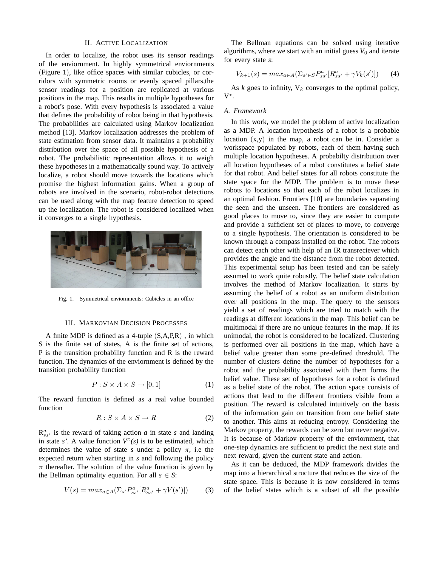#### II. ACTIVE LOCALIZATION

In order to localize, the robot uses its sensor readings of the enviornment. In highly symmetrical enviornments (Figure 1), like office spaces with similar cubicles, or corridors with symmetric rooms or evenly spaced pillars,the sensor readings for a position are replicated at various positions in the map. This results in multiple hypotheses for a robot's pose. With every hypothesis is associated a value that defines the probability of robot being in that hypothesis. The probabilities are calculated using Markov localization method [13]. Markov localization addresses the problem of state estimation from sensor data. It maintains a probability distribution over the space of all possible hypothesis of a robot. The probabilistic representation allows it to weigh these hypotheses in a mathematically sound way. To actively localize, a robot should move towards the locations which promise the highest information gains. When a group of robots are involved in the scenario, robot-robot detections can be used along with the map feature detection to speed up the localization. The robot is considered localized when it converges to a single hypothesis.



Fig. 1. Symmetrical enviornments: Cubicles in an office

#### III. MARKOVIAN DECISION PROCESSES

A finite MDP is defined as a 4-tuple (S,A,P,R) , in which S is the finite set of states, A is the finite set of actions, P is the transition probability function and R is the reward function. The dynamics of the enviornment is defined by the transition probability function

$$
P: S \times A \times S \to [0,1] \tag{1}
$$

The reward function is defined as a real value bounded function

$$
R: S \times A \times S \to R \tag{2}
$$

 $R_{ss'}^a$  is the reward of taking action *a* in state *s* and landing in state *s'*. A value function  $V^{\pi}(s)$  is to be estimated, which determines the value of state *s* under a policy  $\pi$ , i.e the expected return when starting in *s* and following the policy  $\pi$  thereafter. The solution of the value function is given by the Bellman optimality equation. For all  $s \in S$ :

$$
V(s) = max_{a \in A} (\sum_{s'} P_{ss'}^{a} [R_{ss'}^{a} + \gamma V(s')])
$$
 (3)

The Bellman equations can be solved using iterative algorithms, where we start with an initial guess  $V_0$  and iterate for every state *s*:

$$
V_{k+1}(s) = max_{a \in A} (\sum_{s' \in S} P_{ss'}^a [R_{ss'}^a + \gamma V_k(s')])
$$
 (4)

As  $k$  goes to infinity,  $V_k$  converges to the optimal policy, V ∗ .

### *A. Framework*

In this work, we model the problem of active localization as a MDP. A location hypothesis of a robot is a probable location  $(x,y)$  in the map, a robot can be in. Consider a workspace populated by robots, each of them having such multiple location hypotheses. A probabilty distribution over all location hypotheses of a robot constitutes a belief state for that robot. And belief states for all robots constitute the state space for the MDP. The problem is to move these robots to locations so that each of the robot localizes in an optimal fashion. Frontiers [10] are boundaries separating the seen and the unseen. The frontiers are considered as good places to move to, since they are easier to compute and provide a sufficient set of places to move, to converge to a single hypothesis. The orientation is considered to be known through a compass installed on the robot. The robots can detect each other with help of an IR transreciever which provides the angle and the distance from the robot detected. This experimental setup has been tested and can be safely assumed to work quite robustly. The belief state calculation involves the method of Markov localization. It starts by assuming the belief of a robot as an uniform distribution over all positions in the map. The query to the sensors yield a set of readings which are tried to match with the readings at different locations in the map. This belief can be multimodal if there are no unique features in the map. If its unimodal, the robot is considered to be localized. Clustering is performed over all positions in the map, which have a belief value greater than some pre-defined threshold. The number of clusters define the number of hypotheses for a robot and the probability associated with them forms the belief value. These set of hypotheses for a robot is defined as a belief state of the robot. The action space consists of actions that lead to the different frontiers visible from a position. The reward is calculated intuitively on the basis of the information gain on transition from one belief state to another. This aims at reducing entropy. Considering the Markov property, the rewards can be zero but never negative. It is because of Markov property of the enviornment, that one-step dynamics are sufficient to predict the next state and next reward, given the current state and action.

As it can be deduced, the MDP framework divides the map into a hierarchical structure that reduces the size of the state space. This is because it is now considered in terms of the belief states which is a subset of all the possible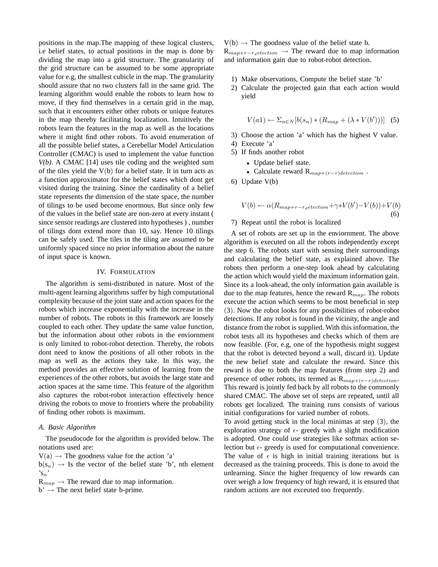positions in the map.The mapping of these logical clusters, i.e belief states, to actual positions in the map is done by dividing the map into a grid structure. The granularity of the grid structure can be assumed to be some appropriate value for e.g, the smallest cubicle in the map. The granularity should assure that no two clusters fall in the same grid. The learning algorithm would enable the robots to learn how to move, if they find themselves in a certain grid in the map, such that it encounters either other robots or unique features in the map thereby facilitating localization. Intuitively the robots learn the features in the map as well as the locations where it might find other robots. To avoid enumeration of all the possible belief states, a Cerebellar Model Articulation Controller (CMAC) is used to implement the value function *V(b)*. A CMAC [14] uses tile coding and the weighted sum of the tiles yield the  $V(b)$  for a belief state. It in turn acts as a function approximator for the belief states which dont get visited during the training. Since the cardinality of a belief state represents the dimension of the state space, the number of tilings to be used become enormous. But since only few of the values in the belief state are non-zero at every instant ( since sensor readings are clustered into hypotheses ) , number of tilings dont extend more than 10, say. Hence 10 tilings can be safely used. The tiles in the tiling are assumed to be uniformly spaced since no prior information about the nature of input space is known.

### IV. FORMULATION

The algorithm is semi-distributed in nature. Most of the multi-agent learning algorithms suffer by high computational complexity because of the joint state and action spaces for the robots which increase exponentially with the increase in the number of robots. The robots in this framework are loosely coupled to each other. They update the same value function, but the information about other robots in the enviornment is only limited to robot-robot detection. Thereby, the robots dont need to know the positions of all other robots in the map as well as the actions they take. In this way, the method provides an effective solution of learning from the experiences of the other robots, but avoids the large state and action spaces at the same time. This feature of the algorithm also captures the robot-robot interaction effectively hence driving the robots to move to frontiers where the probability of finding other robots is maximum.

#### *A. Basic Algorithm*

The pseudocode for the algorithm is provided below. The notations used are:

 $V(a) \rightarrow$  The goodness value for the action 'a'

 $b(s_n) \rightarrow$  Is the vector of the belief state 'b', nth element  $\cdot$ <sub>Sn</sub> $\cdot$ 

 $R_{map} \rightarrow$  The reward due to map information.

 $b' \rightarrow$  The next belief state b-prime.

 $V(b) \rightarrow$  The goodness value of the belief state b.  $R_{map+r-r_{detection}} \rightarrow$  The reward due to map information

- and information gain due to robot-robot detection.
	- 1) Make observations, Compute the belief state 'b'
	- 2) Calculate the projected gain that each action would yield

$$
V(a1) \leftarrow \Sigma_{n \in N} [b(s_n) * (R_{map} + (\lambda * V(b')))] \quad (5)
$$

- 3) Choose the action 'a' which has the highest V value.
- 4) Execute 'a'
- 5) If finds another robot
	- Update belief state.
	- Calculate reward  $R_{map+(r-r)detection}$ .
- 6) Update V(b)

$$
V(b) \leftarrow \alpha(R_{map+r-r_{d}\text{etection}} + \gamma * V(b') - V(b)) + V(b)
$$
\n(6)

#### 7) Repeat until the robot is localized

A set of robots are set up in the enviornment. The above algorithm is executed on all the robots independently except the step 6. The robots start with sensing their surroundings and calculating the belief state, as explained above. The robots then perform a one-step look ahead by calculating the action which would yield the maximum information gain. Since its a look-ahead, the only information gain available is due to the map features, hence the reward  $\mathbf{R}_{map}$ . The robots execute the action which seems to be most beneficial in step (3). Now the robot looks for any possibilities of robot-robot detections. If any robot is found in the vicinity, the angle and distance from the robot is supplied. With this information, the robot tests all its hypotheses and checks which of them are now feasible. (For, e.g, one of the hypothesis might suggest that the robot is detected beyond a wall, discard it). Update the new belief state and calculate the reward. Since this reward is due to both the map features (from step 2) and presence of other robots, its termed as  $R_{man+(r-r)detection}$ . This reward is jointly fed back by all robots to the commonly shared CMAC. The above set of steps are repeated, until all robots get localized. The training runs consists of various initial configurations for varied number of robots.

To avoid getting stuck in the local minimas at step (3), the exploration strategy of  $\epsilon$ - greedy with a slight modification is adopted. One could use strategies like softmax action selection but  $\epsilon$ - greedy is used for computational convenience. The value of  $\epsilon$  is high in initial training iterations but is decreased as the training proceeds. This is done to avoid the unlearning. Since the higher frequency of low rewards can over weigh a low frequency of high reward, it is ensured that random actions are not exceuted too frequently.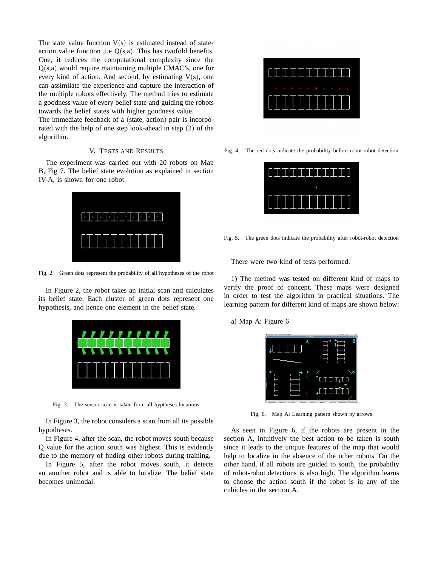The state value function  $V(s)$  is estimated instead of stateaction value function ,i.e  $Q(s,a)$ . This has twofold benefits. One, it reduces the computational complexity since the Q(s,a) would require maintaining multiple CMAC's, one for every kind of action. And second, by estimating  $V(s)$ , one can assimilate the experience and capture the interaction of the multiple robots effectively. The method tries to estimate a goodness value of every belief state and guiding the robots towards the belief states with higher goodness value.

The immediate feedback of a (state, action) pair is incorporated with the help of one step look-ahead in step (2) of the algorithm.

## V. TESTS AND RESULTS

The experiment was carried out with 20 robots on Map B, Fig 7. The belief state evolution as explained in section IV-A, is shown for one robot.



Fig. 2. Green dots represent the probability of all hypotheses of the robot

In Figure 2, the robot takes an initial scan and calculates its belief state. Each cluster of green dots represent one hypothesis, and hence one element in the belief state.



Fig. 3. The sensor scan is taken from all hyptheses locations

In Figure 3, the robot considers a scan from all its possible hypotheses.

In Figure 4, after the scan, the robot moves south because Q value for the action south was highest. This is evidently due to the memory of finding other robots during training.

In Figure 5, after the robot moves south, it detects an another robot and is able to localize. The belief state becomes unimodal.



Fig. 4. The red dots indicate the probability before robot-robot detection

| <u>Christian de Christian de Christian de Christian de Christian de Christian de Christian de Christian de Chris</u> |  |  |
|----------------------------------------------------------------------------------------------------------------------|--|--|
|                                                                                                                      |  |  |
| <u>CI TITLI TITLI I</u>                                                                                              |  |  |

Fig. 5. The green dots indicate the probability after robot-robot detection

There were two kind of tests performed.

1) The method was tested on different kind of maps to verify the proof of concept. These maps were designed in order to test the algorithm in practical situations. The learning pattern for different kind of maps are shown below:

a) Map A: Figure 6

| <b>Directors Face Sales 分级处理器</b><br>markey, new | 48<br>\$20.995    |
|--------------------------------------------------|-------------------|
|                                                  |                   |
|                                                  | D<br>יבדדב)<br>٩Þ |

Fig. 6. Map A: Learning pattern shown by arrows

As seen in Figure 6, if the robots are present in the section A, intuitively the best action to be taken is south since it leads to the unqiue features of the map that would help to localize in the absence of the other robots. On the other hand, if all robots are guided to south, the probabilty of robot-robot detections is also high. The algorithm learns to choose the action south if the robot is in any of the cubicles in the section A.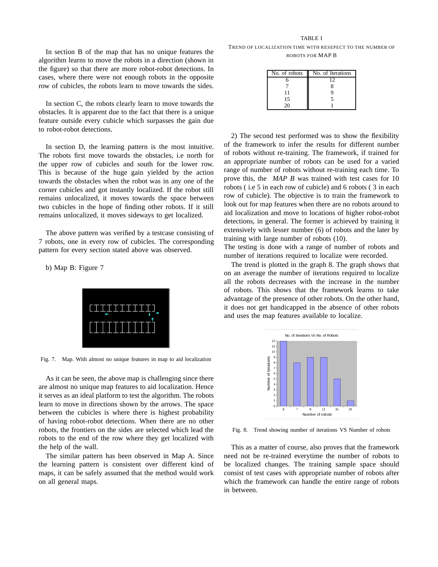In section B of the map that has no unique features the algorithm learns to move the robots in a direction (shown in the figure) so that there are more robot-robot detections. In cases, where there were not enough robots in the opposite row of cubicles, the robots learn to move towards the sides.

In section C, the robots clearly learn to move towards the obstacles. It is apparent due to the fact that there is a unique feature outside every cubicle which surpasses the gain due to robot-robot detections.

In section D, the learning pattern is the most intuitive. The robots first move towards the obstacles, i.e north for the upper row of cubicles and south for the lower row. This is because of the huge gain yielded by the action towards the obstacles when the robot was in any one of the corner cubicles and got instantly localized. If the robot still remains unlocalized, it moves towards the space between two cubicles in the hope of finding other robots. If it still remains unlocalized, it moves sideways to get localized.

The above pattern was verified by a testcase consisting of 7 robots, one in every row of cubicles. The corresponding pattern for every section stated above was observed.

b) Map B: Figure 7



Fig. 7. Map. With almost no unique features in map to aid localization

As it can be seen, the above map is challenging since there are almost no unique map features to aid localization. Hence it serves as an ideal platform to test the algorithm. The robots learn to move in directions shown by the arrows. The space between the cubicles is where there is highest probability of having robot-robot detections. When there are no other robots, the frontiers on the sides are selected which lead the robots to the end of the row where they get localized with the help of the wall.

The similar pattern has been observed in Map A. Since the learning pattern is consistent over different kind of maps, it can be safely assumed that the method would work on all general maps.

TABLE I TREND OF LOCALIZATION TIME WITH RESEPECT TO THE NUMBER OF ROBOTS FOR MAP B

| No. of robots | No. of Iterations |
|---------------|-------------------|
|               |                   |
|               |                   |
| 11            |                   |
| 15            |                   |
| 20            |                   |

2) The second test performed was to show the flexibility of the framework to infer the results for different number of robots without re-training. The framework, if trained for an appropriate number of robots can be used for a varied range of number of robots without re-training each time. To prove this, the *MAP B* was trained with test cases for 10 robots ( i.e 5 in each row of cubicle) and 6 robots ( 3 in each row of cubicle). The objective is to train the framework to look out for map features when there are no robots around to aid localization and move to locations of higher robot-robot detections, in general. The former is achieved by training it extensively with lesser number (6) of robots and the later by training with large number of robots (10).

The testing is done with a range of number of robots and number of iterations required to localize were recorded.

The trend is plotted in the graph 8. The graph shows that on an average the number of iterations required to localize all the robots decreases with the increase in the number of robots. This shows that the framework learns to take advantage of the presence of other robots. On the other hand, it does not get handicapped in the absence of other robots and uses the map features available to localize.



Fig. 8. Trend showing number of iterations VS Number of robots

This as a matter of course, also proves that the framework need not be re-trained everytime the number of robots to be localized changes. The training sample space should consist of test cases with appropriate number of robots after which the framework can handle the entire range of robots in between.